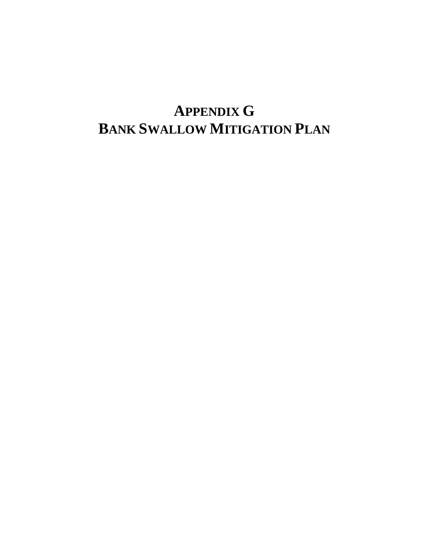# **APPENDIX G BANK SWALLOW MITIGATION PLAN**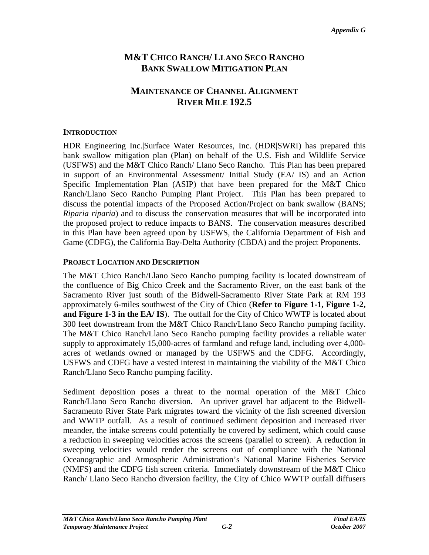# **M&T CHICO RANCH/ LLANO SECO RANCHO BANK SWALLOW MITIGATION PLAN**

# **MAINTENANCE OF CHANNEL ALIGNMENT RIVER MILE 192.5**

#### **INTRODUCTION**

HDR Engineering Inc.|Surface Water Resources, Inc. (HDR|SWRI) has prepared this bank swallow mitigation plan (Plan) on behalf of the U.S. Fish and Wildlife Service (USFWS) and the M&T Chico Ranch/ Llano Seco Rancho. This Plan has been prepared in support of an Environmental Assessment/ Initial Study (EA/ IS) and an Action Specific Implementation Plan (ASIP) that have been prepared for the M&T Chico Ranch/Llano Seco Rancho Pumping Plant Project. This Plan has been prepared to discuss the potential impacts of the Proposed Action/Project on bank swallow (BANS; *Riparia riparia*) and to discuss the conservation measures that will be incorporated into the proposed project to reduce impacts to BANS. The conservation measures described in this Plan have been agreed upon by USFWS, the California Department of Fish and Game (CDFG), the California Bay-Delta Authority (CBDA) and the project Proponents.

## **PROJECT LOCATION AND DESCRIPTION**

The M&T Chico Ranch/Llano Seco Rancho pumping facility is located downstream of the confluence of Big Chico Creek and the Sacramento River, on the east bank of the Sacramento River just south of the Bidwell-Sacramento River State Park at RM 193 approximately 6-miles southwest of the City of Chico (**Refer to Figure 1-1, Figure 1-2, and Figure 1-3 in the EA/ IS**). The outfall for the City of Chico WWTP is located about 300 feet downstream from the M&T Chico Ranch/Llano Seco Rancho pumping facility. The M&T Chico Ranch/Llano Seco Rancho pumping facility provides a reliable water supply to approximately 15,000-acres of farmland and refuge land, including over 4,000 acres of wetlands owned or managed by the USFWS and the CDFG. Accordingly, USFWS and CDFG have a vested interest in maintaining the viability of the M&T Chico Ranch/Llano Seco Rancho pumping facility.

Sediment deposition poses a threat to the normal operation of the M&T Chico Ranch/Llano Seco Rancho diversion. An upriver gravel bar adjacent to the Bidwell- Sacramento River State Park migrates toward the vicinity of the fish screened diversion and WWTP outfall. As aresult of continued sediment deposition and increased river meander, the intake screens could potentially be covered by sediment, which could cause a reduction in sweeping velocities across the screens (parallel to screen). A reduction in sweeping velocities would render the screens out of compliance with the National Oceanographic and Atmospheric Administration's National Marine Fisheries Service (NMFS) and the CDFG fish screen criteria. Immediately downstream of the M&T Chico Ranch/ Llano Seco Rancho diversion facility, the City of Chico WWTP outfall diffusers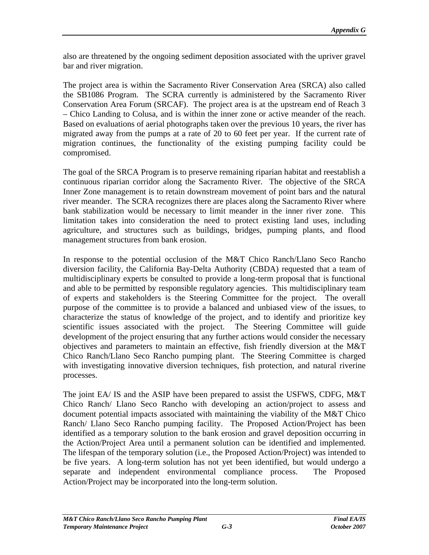also are threatened by the ongoing sediment deposition associated with the upriver gravel bar and river migration.

The project area is within the Sacramento River Conservation Area (SRCA) also called the SB1086 Program. The SCRA currently is administered by the Sacramento River Conservation Area Forum (SRCAF). The project area is at the upstream end of Reach 3 – Chico Landing to Colusa, and is within the inner zone or active meander of the reach. Based on evaluations of aerial photographs taken over the previous 10 years, the river has migrated away from the pumps at a rate of 20 to 60 feet per year. If the current rate of migration continues, the functionality of the existing pumping facility could be compromised.

The goal of the SRCA Program is to preserve remaining riparian habitat and reestablish a continuous riparian corridor along the Sacramento River. The objective of the SRCA Inner Zone management is to retain downstream movement of point bars and the natural river meander. The SCRA recognizes there are places along the Sacramento River where bank stabilization would be necessary to limit meander in the inner river zone. This limitation takes into consideration the need to protect existing land uses, including agriculture, and structures such as buildings, bridges, pumping plants, and flood management structures from bank erosion.

In response to the potential occlusion of the M&T Chico Ranch/Llano Seco Rancho diversion facility, the California Bay-Delta Authority (CBDA) requested that a team of multidisciplinary experts be consulted to provide a long-term proposal that is functional and able to be permitted by responsible regulatory agencies. This multidisciplinary team of experts and stakeholders is the Steering Committee for the project. The overall purpose of the committee is to provide a balanced and unbiased view of the issues, to characterize the status of knowledge of the project, and to identify and prioritizekey scientific issues associated with the project. The Steering Committee will guide development of the project ensuring that any further actions would consider the necessary objectives and parameters to maintain an effective, fish friendly diversion at the M&T Chico Ranch/Llano Seco Rancho pumping plant. The Steering Committee is charged with investigating innovative diversion techniques, fish protection, and natural riverine processes.

The joint EA/ IS and the ASIP have been prepared to assist the USFWS, CDFG, M&T Chico Ranch/ Llano Seco Rancho with developing an action/project to assess and document potential impacts associated with maintaining the viability of the M&T Chico Ranch/ Llano Seco Rancho pumping facility. The Proposed Action/Project has been identified as a temporary solution to the bank erosion and gravel deposition occurring in the Action/Project Area until a permanent solution can be identified and implemented. The lifespan of the temporary solution (i.e., the Proposed Action/Project) was intended to be five years. A long-term solution has not yet been identified, but would undergo a separate and independent environmental compliance process. The Proposed Action/Project may be incorporated into the long-term solution.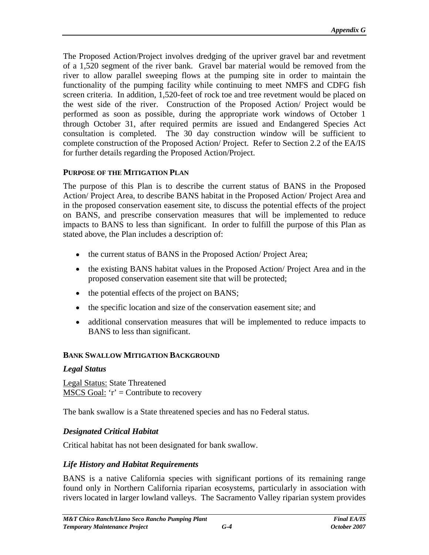The Proposed Action/Project involves dredging of the upriver gravel bar and revetment of a 1,520 segment of the river bank. Gravel barmaterial would be removed from the river to allow parallel sweeping flows at the pumping site in order to maintain the functionality of the pumping facility while continuing to meet NMFS and CDFG fish screen criteria. In addition, 1,520-feet of rock toe and tree revetment would be placed on the west side of the river. Construction of the Proposed Action/ Project would be performed as soon as possible, during the appropriate work windows of October 1 through October 31, after required permits are issued and Endangered Species Act consultation is completed. The 30 day construction window will be sufficient to complete construction of the Proposed Action/ Project. Refer to Section 2.2 of the EA/IS for further details regarding the Proposed Action/Project.

#### **PURPOSE OF THE MITIGATION PLAN**

The purpose of this Plan is to describe the current status of BANS in the Proposed Action/ Project Area, to describe BANS habitat in the Proposed Action/ Project Area and in the proposed conservation easement site, to discuss the potential effects ofthe project on BANS, and prescribe conservation measures that will be implemented to reduce impacts to BANS to less than significant. In order to fulfill the purpose of this Plan as stated above, the Plan includes a description of:

- the current status of BANS in the Proposed Action/ Project Area;
- the existing BANS habitat values in the Proposed Action/ Project Area and in the proposed conservation easement site that will be protected;
- the potential effects of the project on BANS;
- the specific location and size of the conservation easement site; and
- additional conservation measures that will be implemented to reduce impacts to BANS to less than significant.

## **BANK SWALLOW MITIGATION BACKGROUND**

## *Legal Status*

Legal Status: State Threatened  $MSCS Goal: 'r' = Continue to recovery$ </u>

The bank swallow is a State threatened species and has no Federal status.

## *Designated Critical Habitat*

Critical habitat has not been designated for bank swallow.

## *Life History and Habitat Requirements*

BANS is a native California species with significant portions of its remaining range found only in Northern California riparian ecosystems, particularly in association with rivers located in larger lowland valleys. The Sacramento Valley riparian system provides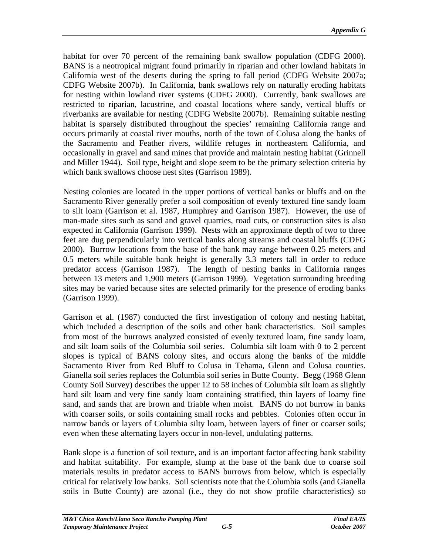habitat for over <sup>70</sup> percent of the remaining bank swallow population (CDFG 2000). BANS is <sup>a</sup> neotropical migrant found primarily in riparian and other lowland habitats in California west of the deserts during the spring to fall period (CDFG Website 2007a; CDFG Website 2007b). In California, bank swallows rely on naturally eroding habitats for nesting within lowland river systems (CDFG 2000). Currently, bank swallows are restricted to riparian, lacustrine, and coastal locationswhere sandy, vertical bluffs or riverbanks are available for nesting (CDFG Website 2007b). Remaining suitable nesting habitat is sparsely distributed throughout the species' remaining California range and occurs primarily at coastal river mouths, north of the town of Colusa along the banks of the Sacramento and Feather rivers, wildlife refuges in northeastern California, and occasionally in gravel and sand mines that provide and maintain nesting habitat (Grinnell and Miller 1944). Soil type, height and slope seem to be the primary selection criteria by which bank swallows choose nest sites (Garrison 1989).

Nesting colonies are located in the upper portions of vertical banks or bluffs and on the Sacramento River generally prefer a soil composition of evenly textured fine sandy loam to silt loam (Garrison et al. 1987, Humphrey and Garrison 1987). However, the use of man-made sites such as sand and gravel quarries, road cuts, or construction sites is also expected in California (Garrison 1999). Nests with an approximate depth of two to three feet are dug perpendicularly into vertical banks along streams and coastal bluffs (CDFG 2000). Burrow locations from the base of the bank may range between 0.25 meters and 0.5 meters while suitable bank height is generally 3.3 meters tall in order to reduce predator access (Garrison 1987). The length of nesting banks in California ranges between 13 meters and 1,900 meters (Garrison 1999). Vegetation surrounding breeding sites may be varied because sites are selected primarily for the presence of eroding banks (Garrison 1999).

Garrison et al. (1987) conducted the first investigation of colony and nesting habitat, which included a description of the soils and other bank characteristics. Soil samples from most of the burrows analyzed consisted of evenly textured loam, fine sandy loam, and silt loam soils of the Columbia soil series. Columbia silt loam with 0 to 2 percent slopes is typical of BANS colony sites, and occurs along the banks of the middle Sacramento River from Red Bluff to Colusa in Tehama, Glenn and Colusa counties. Gianella soil series replaces the Columbia soil series in Butte County. Begg (1968 Glenn County Soil Survey) describes the upper 12 to 58 inches of Columbia silt loam as slightly hard silt loam and very fine sandy loam containing stratified, thin layers of loamy fine sand, and sands that are brown and friable when moist. BANS do not burrow in banks with coarser soils, or soils containing small rocks and pebbles. Colonies often occur in narrow bands or layers of Columbia silty loam, between layers of finer or coarser soils; even when these alternating layers occur in non-level, undulating patterns.

Bank slope is a function of soil texture, and is an important factor affecting bank stability and habitat suitability. For example, slump at the base of the bank due to coarse soil materials results in predator access to BANS burrows from below, which is especially critical for relatively low banks. Soil scientists note that the Columbia soils (and Gianella soils in Butte County) are azonal (i.e., they do not show profile characteristics) so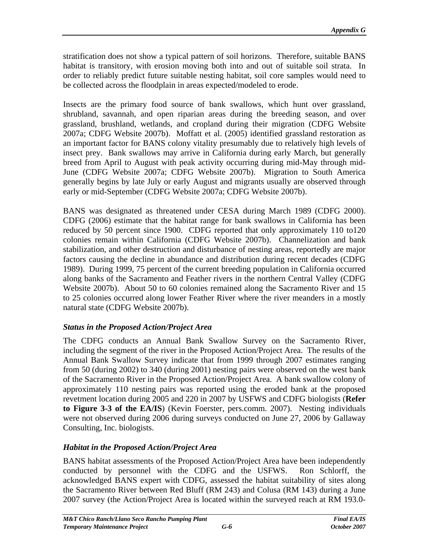stratification does not show a typical pattern of soil horizons. Therefore, suitable BANS habitat is transitory, with erosion moving both into and out of suitable soil strata. In order to reliably predict future suitable nesting habitat, soil core samples would need to be collected across the floodplain in areas expected/modeled to erode.

Insects are the primary food source of bank swallows, which hunt over grassland, shrubland, savannah, and open riparian areas during the breeding season, and over grassland, brushland, wetlands, and cropland during their migration (CDFG Website 2007a; CDFG Website 2007b). Moffatt et al. (2005) identified grassland restoration as an important factor for BANS colony vitality presumably due to relatively high levels of insect prey. Bank swallows may arrive in California during early March, but generally breed from April to August with peak activity occurring during mid-May through mid- June (CDFG Website 2007a; CDFG Website 2007b). Migration to South America generally begins by late July or early August and migrants usually are observed through

early or mid-September (CDFG Website 2007a; CDFG Website 2007b).<br>BANS was designated as threatened under CESA during March 1989 (CDFG 2000).<br>CDFG (2006) estimate that the habitat range for bank swallows in California has b reduced by 50 percent since 1900. CDFG reported that only approximately 110 to120 colonies remain within California (CDFG Website 2007b). Channelization and bank stabilization, and other destruction and disturbance of nesting areas, reportedly are major factors causing the decline in abundance and distribution during recent decades (CDFG 1989). During 1999, 75 percent of the current breeding population in California occurred along banks of the Sacramento and Feather rivers in the northern Central Valley (CDFG Website 2007b). About 50 to 60 colonies remained along the Sacramento River and 15 to 25 colonies occurred along lower Feather River where the river meanders in a mostly natural state (CDFG Website 2007b).

# *Status in the Proposed Action/Project Area*

The CDFG conducts an Annual Bank Swallow Survey on the Sacramento River, including the segment of the river in the Proposed Action/Project Area. The results of the Annual Bank Swallow Survey indicate that from 1999 through 2007 estimates ranging from 50 (during 2002) to 340 (during 2001) nesting pairs were observed on the west bank of the Sacramento River in the Proposed Action/Project Area. A bank swallow colony of approximately 110 nesting pairs was reported using the eroded bank at the proposed revetment location during 2005 and 220 in 2007 by USFWS and CDFG biologists (**Refer to Figure 3-3 of the EA/IS**) (Kevin Foerster, pers.comm. 2007). Nesting individuals were not observed during 2006 during surveys conducted on June 27, 2006 by Gallaway Consulting, Inc. biologists.

# *Habitat in the Proposed Action/Project Area*

BANS habitat assessments of the Proposed Action/Project Area have been independently conducted by personnel with the CDFG and the USFWS. Ron Schlorff, the acknowledged BANS expert with CDFG, assessed the habitat suitability of sites along the Sacramento River between Red Bluff (RM 243) and Colusa (RM 143) during a June 2007 survey (the Action/Project Area is located within the surveyed reach at RM 193.0-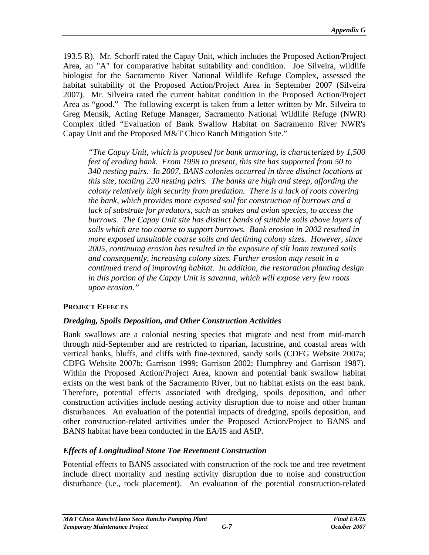193.5 R). Mr. Schorff rated the Capay Unit, which includes the Proposed Action/Project Area, an "A" for comparative habitat suitability and condition. Joe Silveira, wildlife biologist for the Sacramento River National Wildlife Refuge Complex, assessed the habitat suitability of the Proposed Action/Project Area in September 2007 (Silveira 2007). Mr. Silveira rated the current habitat condition in the Proposed Action/Project Area as "good." The following excerpt is taken from a letter written by Mr. Silveira to Greg Mensik, Acting Refuge Manager, Sacramento National Wildlife Refuge (NWR) Complex titled "Evaluation of Bank Swallow Habitat on Sacramento River NWR's Capay Unit and the Proposed M&T Chico Ranch Mitigation Site."

*"The Capay Unit, which is proposed for bank armoring, is characterized by 1,500 feet of eroding bank. From 1998 to present, this site has supported from 50 to 340 nesting pairs. In 2007, BANS colonies occurred in three distinct locations at this site, totaling 220 nesting pairs. The banks are high and steep, affording the colony relatively high security from predation. There is a lack of roots covering the bank, which provides more exposed soil for construction of burrows and a*  lack of substrate for predators, such as snakes and avian species, to access the *burrows. The Capay Unit site has distinct bands of suitable soils above layers of soils which are too coarse to support burrows. Bank erosion in 2002 resulted in more exposed unsuitable coarse soils and declining colony sizes. However, since 2005, continuing erosion has resulted in the exposure of silt loam textured soils and consequently, increasing colony sizes. Further erosion may result in a continued trend of improving habitat. In addition, the restoration planting design in this portion of the Capay Unit is savanna, which will expose very few roots upon erosion."* 

## **PROJECT EFFECTS**

## *Dredging, Spoils Deposition, and Other Construction Activities*

Bank swallows are a colonial nesting species that migrate and nest from mid-march through mid-September and are restricted to riparian, lacustrine, and coastal areas with vertical banks, bluffs, and cliffs with fine-textured, sandy soils (CDFG Website 2007a; CDFG Website 2007b; Garrison 1999; Garrison 2002; Humphrey and Garrison 1987). Within the Proposed Action/Project Area, known and potential bank swallow habitat exists on the west bank of the Sacramento River, but no habitat exists on the east bank. Therefore, potential effects associated with dredging, spoils deposition, and other construction activities include nesting activity disruption due to noise and other human disturbances. An evaluation of the potential impacts of dredging, spoils deposition, and other construction-related activities under the Proposed Action/Project to BANS and BANS habitat have been conducted in the EA/IS and ASIP.

## *Effects of Longitudinal Stone Toe Revetment Construction*

Potential effects to BANS associated with construction of the rock toe and tree revetment include direct mortality and nesting activity disruption due to noise and construction disturbance (i.e., rock placement). An evaluation of the potential construction-related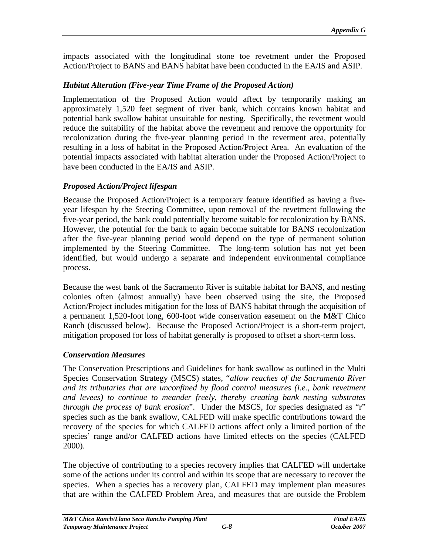impacts associated with the longitudinal stone toe revetment under the Proposed Action/Project to BANS and BANS habitat have been conducted in the EA/IS and ASIP.

## *Habitat Alteration (Five-year Time Frame of the Proposed Action)*

Implementation of the Proposed Action would affect by temporarily making an approximately 1,520 feet segment of river bank, which contains known habitat and potential bank swallow habitat unsuitable for nesting. Specifically, the revetment would reduce the suitability of the habitat above the revetment and remove the opportunity for recolonization during the five-year planning period in the revetment area, potentially resulting in a loss of habitat in the Proposed Action/Project Area. An evaluation of the potential impacts associated with habitat alteration under the Proposed Action/Project to have been conducted in the EA/IS and ASIP.

## *Proposed Action/Project lifespan*

Because the Proposed Action/Project is a temporary feature identified as having a five year lifespan by the Steering Committee, upon removal of the revetment following the five-year period, the bank could potentially become suitable for recolonization by BANS. However, the potential for the bank to again become suitable for BANS recolonization after the five-year planning period would depend on the type of permanent solution implemented by the Steering Committee. The long-term solution has not yet been identified, but would undergo a separate and independent environmental compliance process.

Because the west bank of the Sacramento River is suitable habitat for BANS, and nesting colonies often (almost annually) have been observed using the site, the Proposed Action/Project includes mitigation for the loss of BANS habitat through the acquisition of a permanent 1,520-foot long, 600-foot wide conservation easement on the M&T Chico Ranch (discussed below). Because the Proposed Action/Project is a short-term project, mitigation proposed for loss of habitat generally is proposed to offset a short-term loss.

## *Conservation Measures*

The Conservation Prescriptions and Guidelines forbank swallow as outlined in the Multi Species Conservation Strategy (MSCS) states, "*allow reaches of the Sacramento River and its tributaries that are unconfined by flood control measures (i.e., bank revetment and levees) to continue to meander freely, thereby creating bank nesting substrates through the process of bank erosion*". Under the MSCS, for species designated as "r" species such as the bank swallow, CALFED will make specific contributions toward the recovery of the species for which CALFED actions affect only a limited portion of the species' range and/or CALFED actions have limited effects on the species (CALFED

2000).<br>The objective of contributing to a species recovery implies that CALFED will undertake some of the actions under its control and within its scope that are necessary to recover the species. When a species has a recovery plan, CALFED may implement plan measures that are within the CALFED Problem Area, and measures that are outside the Problem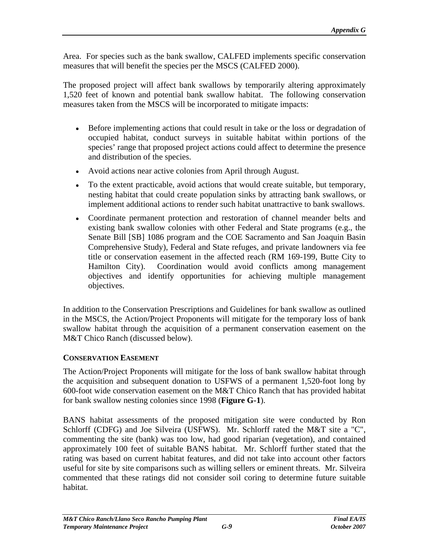Area. For species such as the bank swallow, CALFED implements specific conservation measures that will benefit the species per the MSCS (CALFED 2000).

The proposed project will affect bank swallows by temporarily altering approximately 1,520 feet of known and potential bank swallow habitat. The following conservation measures taken from the MSCS will be incorporated to mitigate impacts:

- Before implementing actions that could result in take or the loss or degradation of occupied habitat, conduct surveys in suitable habitat within portions of the species' range that proposed project actions could affect to determine the presence and distribution of the species.
- Avoid actions near active colonies from April through August.
- To the extent practicable, avoid actions that would create suitable, but temporary, nesting habitat that could create population sinks by attracting bank swallows, or implement additional actions to render such habitat unattractive to bank swallows.
- Coordinate permanent protection and restoration of channel meander belts and existing bank swallow colonies with other Federal and State programs (e.g., the Senate Bill [SB] 1086 program and the COE Sacramento and San Joaquin Basin Comprehensive Study), Federal and State refuges, and private landowners viafee title or conservation easement in the affected reach (RM 169-199, Butte City to Hamilton City). Coordination would avoid conflicts among management objectives and identify opportunities for achieving multiple management objectives.

In addition to the Conservation Prescriptions and Guidelines for bank swallow as outlined in the MSCS, the Action/Project Proponents will mitigate for the temporary loss of bank swallow habitat through the acquisition of a permanent conservation easement on the M&T Chico Ranch (discussed below).

# **CONSERVATION EASEMENT**

The Action/Project Proponents will mitigate for the loss of bank swallow habitat through the acquisition and subsequent donation to USFWS of a permanent 1,520-foot long by 600-foot wide conservation easement on the M&T Chico Ranch that has provided habitat for bank swallow nesting colonies since 1998 (**Figure G-1**).

BANS habitat assessments of the proposed mitigation site were conducted by Ron Schlorff (CDFG) and Joe Silveira (USFWS). Mr. Schlorff rated the M&T site a "C", commenting the site (bank) was too low, had good riparian (vegetation), and contained approximately 100 feet of suitable BANS habitat. Mr. Schlorff further stated that the rating was based on current habitat features, and did not take into account other factors useful for site by site comparisons such as willing sellers or eminent threats. Mr. Silveira commented that these ratings did not consider soil coring to determine future suitable habitat.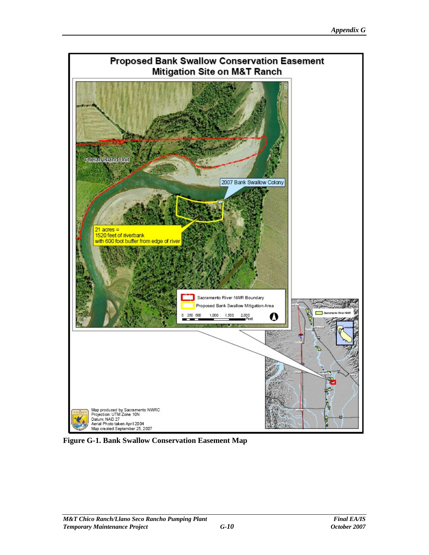

**Figure G-1. Bank Swallow Conservation Easement Map**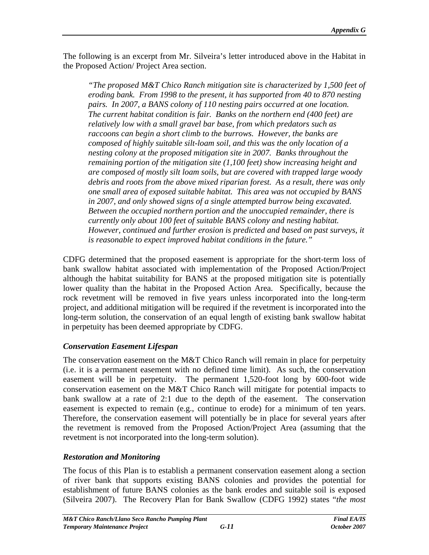The following is an excerpt from Mr. Silveira's letter introduced above in the Habitat in the Proposed Action/ Project Area section.

*"The proposed M&T Chico Ranch mitigation site is characterized by 1,500 feet of eroding bank. From 1998 to the present, it has supported from 40 to 870 nesting pairs. In 2007, a BANS colony of 110 nesting pairs occurred at one location. The current habitat condition is fair. Banks on the northern end (400 feet) are relatively low with a small gravel bar base, from which predators such as raccoons can begin a short climb to the burrows. However, the banks are composed of highly suitable silt-loam soil, and this was the only location of a nesting colony at the proposed mitigation site in 2007. Banks throughout the remaining portion of the mitigation site (1,100 feet) show increasing height and are composed of mostly silt loam soils, but are covered with trapped large woody debris and roots from the above mixed riparian forest. As a result, there was only one small area of exposed suitable habitat. This area was not occupied by BANS in 2007, and only showed signs of a single attempted burrow being excavated. Between the occupied northern portion and the unoccupied remainder, there is currently only about 100 feet of suitable BANS colony and nesting habitat. However, continued and further erosion is predicted and based on past surveys, it is reasonable to expect improved habitat conditions in the future."*

CDFG determined that the proposed easement is appropriate for the short-term loss of bank swallow habitat associated with implementation of the Proposed Action/Project although the habitat suitability for BANS at the proposed mitigation site is potentially lower quality than the habitat in the Proposed Action Area. Specifically, because the rock revetment will be removed in five years unless incorporated into the long-term project, and additional mitigation will be required if the revetment is incorporated into the long-term solution, the conservation of an equal length of existing bank swallow habitat in perpetuity has been deemed appropriate by CDFG.

# *Conservation Easement Lifespan*

The conservation easement on the  $M&T$  Chico Ranch will remain in place for perpetuity (i.e. it is a permanent easement with no defined time limit). As such, the conservation easement will be in perpetuity. The permanent 1,520-foot long by 600-foot wide conservation easement on the M&T Chico Ranch will mitigate for potential impacts to bank swallow at a rate of 2:1 due to the depth of the easement. The conservation easement is expected to remain (e.g., continue to erode) for a minimum of ten years. Therefore, the conservation easement will potentially be in place for several years after the revetment is removed from the Proposed Action/Project Area (assuming that the revetment is not incorporated into the long-term solution).

# *Restoration and Monitoring*

The focus of this Plan is to establish a permanent conservation easement along a section of river bank that supports existing BANS colonies and provides the potential for establishment of future BANS colonies as the bank erodes and suitable soil is exposed (Silveira 2007). The Recovery Plan for Bank Swallow (CDFG 1992) states "*the most*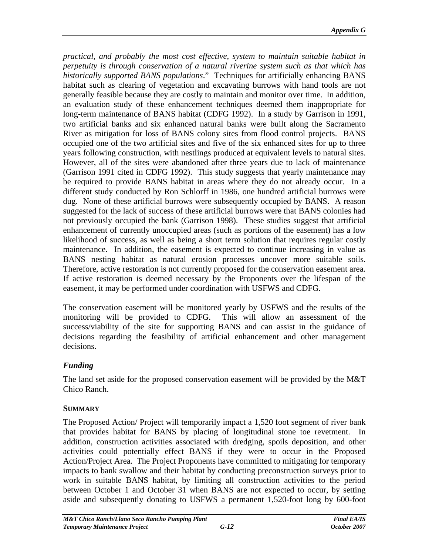*practical, and probably the most cost ef ective, system to maintain suitable habitat in perpetuity is through conservation of a natural riverine system such as that which has historically supported BANS populations*." Techniques for artificially enhancing BANS habitat such as clearing of vegetation and excavating burrows with hand tools are not generally feasible because they are costly to maintain and monitor over time. In addition, an evaluation study of these enhancement techniques deemed them inappropriate for long-term maintenance of BANS habitat (CDFG 1992). In a study by Garrison in 1991, two artificial banks and six enhanced natural banks were built along the Sacramento River as mitigation for loss of BANS colony sites from flood control projects. BANS occupied one of the two artificial sites and five of the six enhanced sites for up to three years following construction, with nestlings produced at equivalent levels to natural sites. However, all of the sites were abandoned after three years due to lack of maintenance (Garrison 1991 cited in CDFG 1992). This study suggests that yearly maintenance may be required to provide BANS habitat in areas where they do not already occur. In a different study conducted by Ron Schlorff in 1986, one hundred artificial burrows were dug. None of these artificial burrows were subsequently occupied by BANS. A reason suggested for the lack of success of these artificial burrows were that BANS colonies had not previously occupied the bank (Garrison 1998). These studies suggest that artificial enhancement of currently unoccupied areas (such as portions of the easement) has a low likelihood of success, as well as being a short term solution that requires regular costly maintenance. In addition, the easement is expected to continue increasing in value as BANS nesting habitat as natural erosion processes uncover more suitable soils. Therefore, active restoration is not currently proposed for the conservation easement area. If active restoration is deemed necessary by the Proponents over the lifespan of the easement, it may be performed under coordination with USFWS and CDFG.

The conservation easement will be monitored yearly by USFWS and the results of the monitoring will be provided to CDFG. This will allow an assessment of the success/viability of the site for supporting BANS and can assist in the guidance of decisions regarding the feasibility of artificial enhancement and other management decisions.

## *Funding*

The land set aside for the proposed conservation easement will be provided by the M&T Chico Ranch.

## **SUMMARY**

The Proposed Action/ Project will temporarily impact a 1,520 foot segment of river bank that provides habitat for BANS by placing of longitudinal stone toe revetment. In addition, construction activities associated with dredging, spoils deposition, and other activities could potentially effect BANS if they were to occur in the Proposed Action/Project Area. The Project Proponents have committed to mitigating for temporary impacts to bank swallow and their habitat by conducting preconstruction surveys prior to work in suitable BANS habitat, by limiting all construction activities to the period between October 1 and October 31 when BANS are not expected to occur, by setting aside and subsequently donating to USFWS a permanent 1,520-foot long by 600-foot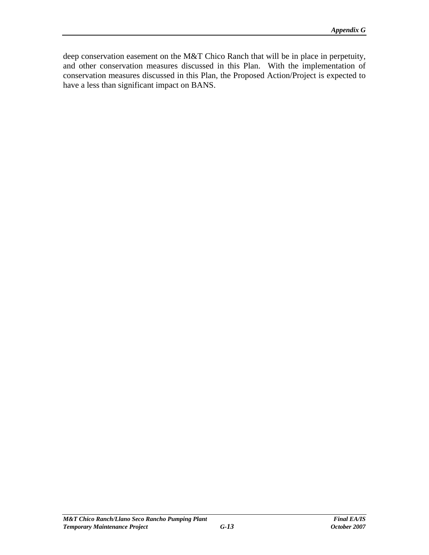deep conservation easement on the M&T Chico Ranch that will be in place in perpetuity, and other conservation measures discussed in this Plan. With the implementation of conservation measures discussed in this Plan, the Proposed Action/Project is expected to have a less than significant impact on BANS.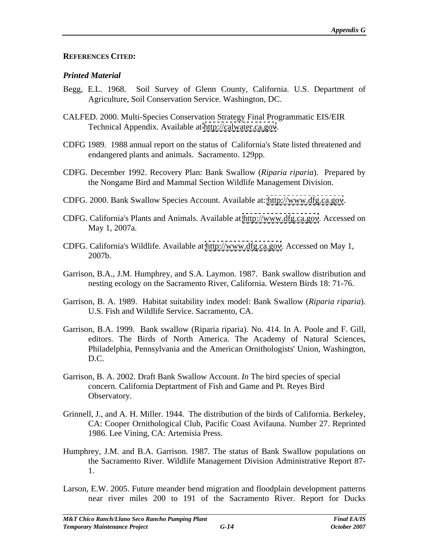#### **REFERENCES CITED:**

## *Printed Material*

- Begg, E.L. 1968. Soil Survey of Glenn County, California. U.S. Department of Agriculture, Soil Conservation Service. Washington, DC.
- CALFED. 2000. Multi-Species Conservation Strategy Final Programmatic EIS/EIR Technical Appendix. Available at<http://calwater.ca.gov>.
- CDFG 1989. 1988 annual report on the status of California's State listed threatened and endangered plants and animals. Sacramento. 129pp.
- CDFG. December 1992. Recovery Plan: Bank Swallow (*Riparia riparia*). Prepared by the Nongame Bird and Mammal Section Wildlife Management Division.
- 
- CDFG. 2000. Bank Swallow Species Account. Available at:<http://www.dfg.ca.gov>.<br>CDFG. California's Plants and Animals. Available at http://www.dfg.ca.gov. Accessed on May 1, 2007a.
- CDFG. California's Wildlife. Available at<http://www.dfg.ca.gov>. Accessed on May 1, 2007b.
- Garrison, B.A., J.M. Humphrey, and S.A. Laymon. 1987. Bank swallow distribution and nesting ecology on the Sacramento River, California. Western Birds 18: 71-76.
- Garrison, B. A. 1989. Habitat suitability index model: Bank Swallow (*Riparia riparia*). U.S. Fish and Wildlife Service. Sacramento, CA.
- Garrison, B.A. 1999. Bank swallow (Riparia riparia). No. 414. In A. Poole and F. Gill, editors. The Birds of North America. The Academy of Natural Sciences, Philadelphia, Pennsylvania and the American Ornithologists' Union, Washington, D.C.
- Garrison, B. A. 2002. Draft Bank Swallow Account. *In* The bird species of special concern. California Deptartment of Fish and Game and Pt. Reyes Bird Observatory.
- Grinnell, J., and A. H. Miller. 1944. The distribution of the birds of California. Berkeley, CA: Cooper Ornithological Club, Pacific Coast Avifauna. Number 27. Reprinted 1986. Lee Vining, CA: Artemisia Press.
- Humphrey, J.M. and B.A. Garrison. 1987. The status of Bank Swallow populations on the Sacramento River. Wildlife Management Division Administrative Report 87- 1.
- Larson, E.W. 2005. Future meander bend migration and floodplain development patterns near river miles 200 to 191 of the Sacramento River. Report for Ducks